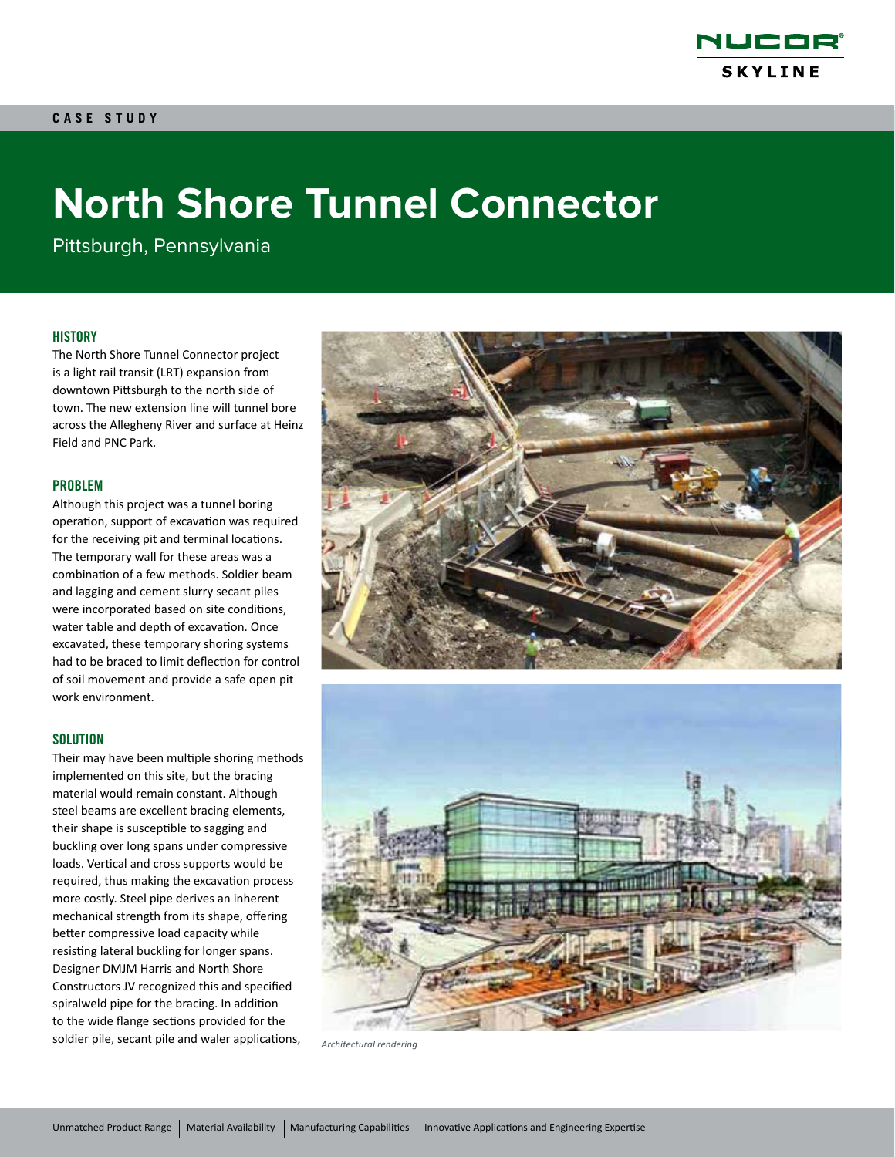

# **North Shore Tunnel Connector**

Pittsburgh, Pennsylvania

# **HISTORY**

The North Shore Tunnel Connector project is a light rail transit (LRT) expansion from downtown Pittsburgh to the north side of town. The new extension line will tunnel bore across the Allegheny River and surface at Heinz Field and PNC Park.

## PROBLEM

Although this project was a tunnel boring operation, support of excavation was required for the receiving pit and terminal locations. The temporary wall for these areas was a combination of a few methods. Soldier beam and lagging and cement slurry secant piles were incorporated based on site conditions, water table and depth of excavation. Once excavated, these temporary shoring systems had to be braced to limit deflection for control of soil movement and provide a safe open pit work environment.

## **SOLUTION**

Their may have been multiple shoring methods implemented on this site, but the bracing material would remain constant. Although steel beams are excellent bracing elements, their shape is susceptible to sagging and buckling over long spans under compressive loads. Vertical and cross supports would be required, thus making the excavation process more costly. Steel pipe derives an inherent mechanical strength from its shape, offering better compressive load capacity while resisting lateral buckling for longer spans. Designer DMJM Harris and North Shore Constructors JV recognized this and specified spiralweld pipe for the bracing. In addition to the wide flange sections provided for the soldier pile, secant pile and waler applications, *Architectural rendering*